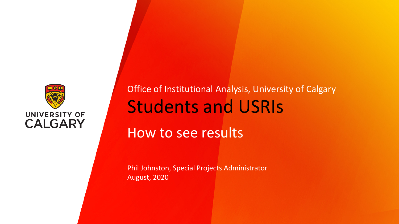

Students and USRIs How to see results Office of Institutional Analysis, University of Calgary

Phil Johnston, Special Projects Administrator August, 2020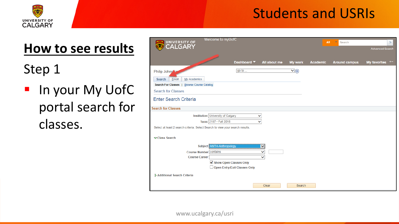

# **How to see results**

Step 1

**In your My UofC** portal search for classes.

| Welcome to myUofC<br>UNIVERSITY OF                                            |                                                        | All<br><b>Re</b><br>Search | $\gg$          |                 |                      |                              |
|-------------------------------------------------------------------------------|--------------------------------------------------------|----------------------------|----------------|-----------------|----------------------|------------------------------|
| CALGARY                                                                       |                                                        |                            |                |                 |                      | <b>Advanced Search</b>       |
|                                                                               |                                                        |                            |                |                 |                      |                              |
|                                                                               | Dashboard V                                            | All about me               | <b>My work</b> | <b>Academic</b> | <b>Around campus</b> | <b>My favorites</b><br>$+ -$ |
| Philip Johns or                                                               | go to                                                  |                            | $\vee$         |                 |                      |                              |
| Search<br>Enroll<br>My Academics                                              |                                                        |                            |                |                 |                      |                              |
| Search For Classes   Browse Course Catalog                                    |                                                        |                            |                |                 |                      |                              |
| <b>Search for Classes</b>                                                     |                                                        |                            |                |                 |                      |                              |
| <b>Enter Search Criteria</b>                                                  |                                                        |                            |                |                 |                      |                              |
| <b>Search for Classes</b>                                                     |                                                        |                            |                |                 |                      |                              |
| <b>Institution University of Calgary</b>                                      |                                                        | ◡                          |                |                 |                      |                              |
| Term 2187 - Fall 2018                                                         |                                                        | $\checkmark$               |                |                 |                      |                              |
| Select at least 2 search criteria. Select Search to view your search results. |                                                        |                            |                |                 |                      |                              |
| <b>▽Class Search</b>                                                          |                                                        |                            |                |                 |                      |                              |
| <b>ANTH-Anthropology</b><br><b>Subject</b>                                    |                                                        | ▽                          |                |                 |                      |                              |
| Course Number contains                                                        |                                                        | $\checkmark$               |                |                 |                      |                              |
| <b>Course Career</b>                                                          |                                                        | $\checkmark$               |                |                 |                      |                              |
|                                                                               | Show Open Classes Only<br>Open Entry/Exit Classes Only |                            |                |                 |                      |                              |
|                                                                               |                                                        |                            |                |                 |                      |                              |
| Additional Search Criteria                                                    |                                                        |                            |                |                 |                      |                              |
|                                                                               |                                                        | Clear                      | Search         |                 |                      |                              |

www.ucalgary.ca/usri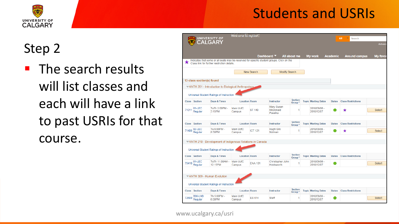

# Step 2

**The search results** will list classes and each will have a link to past USRIs for that course.

|       |                           |                                                                                                                                          |                            | Dashboard V       |                                                 | All about me                         | <b>My work</b>             | <b>Academic</b> | <b>Around campus</b>      | My favor      |
|-------|---------------------------|------------------------------------------------------------------------------------------------------------------------------------------|----------------------------|-------------------|-------------------------------------------------|--------------------------------------|----------------------------|-----------------|---------------------------|---------------|
| x     |                           | Indicates that some or all seats may be reserved for specific student groups. Click on the<br>Class link for further restriction details |                            |                   |                                                 |                                      |                            |                 |                           |               |
|       |                           |                                                                                                                                          |                            | <b>New Search</b> | <b>Modify Search</b>                            |                                      |                            |                 |                           |               |
|       | 13 class section(s) found |                                                                                                                                          |                            |                   |                                                 |                                      |                            |                 |                           |               |
|       |                           | WANTH 201 - Introduction to Biological Anthropology                                                                                      |                            |                   |                                                 |                                      |                            |                 |                           |               |
|       |                           | Universal Student Ratings of Instruction                                                                                                 |                            |                   |                                                 |                                      |                            |                 |                           |               |
|       | <b>Class</b> Section      | Days & Times                                                                                                                             | <b>Location Room</b>       |                   | <b>Instructor</b>                               | <b>Section</b><br>Group <sup>*</sup> | <b>Topic Meeting Dates</b> | <b>Status</b>   | <b>Class Restrictions</b> |               |
| 71011 | 01-LEC<br>Regular         | TuTh 2:00PM -<br>3:15PM                                                                                                                  | <b>Main UofC</b><br>Campus | <b>ST 140</b>     | <b>Mary Susan</b><br><b>McDonald</b><br>Pavelka | 1                                    | 2018/09/06 -<br>2018/12/07 |                 | *                         | <b>Select</b> |
|       |                           |                                                                                                                                          |                            |                   |                                                 | <b>Section</b>                       |                            |                 |                           |               |
|       | Class Section             | Days & Times                                                                                                                             | Location Room              |                   | Instructor                                      | Group*                               | <b>Topic Meeting Dates</b> | <b>Status</b>   | <b>Class Restrictions</b> |               |
|       | 71406 02-LEC<br>Regular   | Tu 6:00PM -<br>8:50PM                                                                                                                    | Main UofC<br>Campus        | <b>ICT 121</b>    | <b>Hugh GW</b><br>Notman                        |                                      | 2018/09/06 -<br>2018/12/07 |                 | ★                         | <b>Select</b> |
|       |                           |                                                                                                                                          |                            |                   |                                                 |                                      |                            |                 |                           |               |
|       |                           | ANTH 210 - Development of Indigenous Relations in Canada                                                                                 |                            |                   |                                                 |                                      |                            |                 |                           |               |
|       |                           | Universal Student Ratings of Instruction                                                                                                 |                            |                   |                                                 |                                      |                            |                 |                           |               |
|       | Class Section             | Days & Times                                                                                                                             | <b>Location Room</b>       |                   | <b>Instructor</b>                               | <b>Section</b><br>Group <sup>*</sup> | <b>Topic Meeting Dates</b> | <b>Status</b>   | <b>Class Restrictions</b> |               |
| 75410 | 01-LEC<br>Regular         | TuTh 11:00AM -<br>12:15PM                                                                                                                | Main UofC<br>Campus        | <b>ENA 101</b>    | Christopher John<br>Holdsworth                  |                                      | 2018/09/06 -<br>2018/12/07 |                 |                           | <b>Select</b> |
|       |                           |                                                                                                                                          |                            |                   |                                                 |                                      |                            |                 |                           |               |
|       |                           | ANTH 309 - Human Evolution                                                                                                               |                            |                   |                                                 |                                      |                            |                 |                           |               |
|       |                           | Universal Student Ratings of Instruction                                                                                                 |                            |                   |                                                 |                                      |                            |                 |                           |               |
|       |                           |                                                                                                                                          |                            |                   |                                                 | <b>Section</b>                       |                            |                 |                           |               |
|       | Class Section             | Days & Times                                                                                                                             | <b>Location Room</b>       |                   | Instructor                                      | Group <sup>*</sup>                   | <b>Topic Meeting Dates</b> | <b>Status</b>   | <b>Class Restrictions</b> |               |
|       | B06-LAB                   | Th 5:00PM -                                                                                                                              | Main UofC                  |                   |                                                 |                                      | 2018/09/06 -               |                 |                           |               |

www.ucalgary.ca/usri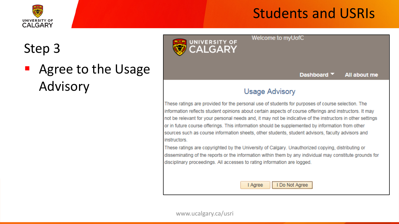

# Step 3

 Agree to the Usage Advisory



Dashboard Y All about me

#### **Usage Advisory**

Welcome to myUofC

These ratings are provided for the personal use of students for purposes of course selection. The information reflects student opinions about certain aspects of course offerings and instructors. It may not be relevant for your personal needs and, it may not be indicative of the instructors in other settings or in future course offerings. This information should be supplemented by information from other sources such as course information sheets, other students, student advisors, faculty advisors and instructors

These ratings are copyrighted by the University of Calgary. Unauthorized copying, distributing or disseminating of the reports or the information within them by any individual may constitute grounds for disciplinary proceedings. All accesses to rating information are logged.

> I Do Not Agree I Agree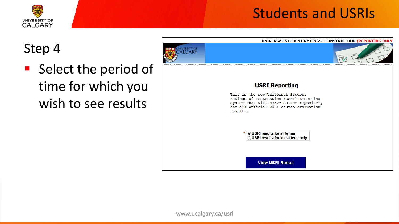

# Step 4

**Select the period of** time for which you wish to see results



**View USRI Result**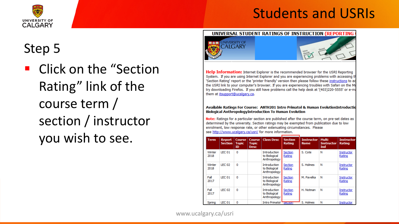



# Step 5

**E** Click on the "Section Rating" link of the course term / section / instructor you wish to see.



**Help Information:** Internet Explorer is the recommended browser for the USRI Reporting System. If you are using Internet Explorer and you are experiencing problems with accessing the 'Section Rating' report or the 'printer friendly' version then please follow these instructions to a the USRI link to your computer's browser. If you are experiencing troubles with Safari on the Ma try downloading Firefox. If you still have problems call the help desk at '(403)220-5555' or e-m them at itsupport@ucalgary.ca.

#### Available Ratings For Course: ANTH201 Intro Primatol & Human EvolutionIntroductio **Biological AnthropologyIntroduction To Human Evolution**

Note: Ratings for a particular section are published after the course term, on pre-set dates as determined by the university. Section ratings may be exempted from publication due to low enrolment, low response rate, or other extenuating circumstances. Please see http://www.ucalgary.ca/usri/ for more information.

| <b>Term</b>    | <b>Report</b><br><b>Section</b> | Course<br><b>Topic</b><br>ID | Course<br><b>Topic</b><br><b>Desc</b> | <b>Class Desc</b>                                    | <b>Section</b><br>Rating | <b>Instructor</b><br><b>Name</b> | Multi<br><b>Instructor</b><br>Ind | <b>Instructor</b><br>Rating |
|----------------|---------------------------------|------------------------------|---------------------------------------|------------------------------------------------------|--------------------------|----------------------------------|-----------------------------------|-----------------------------|
| Winter<br>2018 | <b>LEC 01</b>                   | 0                            |                                       | <b>Introduction</b><br>to Biological<br>Anthropology | Section<br>Rating        | S. Cote                          | N                                 | Instructor<br>Rating        |
| Winter<br>2018 | <b>LEC 02</b>                   | $\Omega$                     |                                       | <b>Introduction</b><br>to Biological<br>Anthropology | Section<br>Rating        | S. Holmes                        | N                                 | Instructor<br>Rating        |
| Fall<br>2017   | <b>LEC 01</b>                   | $\Omega$                     |                                       | <b>Introduction</b><br>to Biological<br>Anthropology | Section<br>Rating        | M. Pavelka                       | N                                 | Instructor<br>Rating        |
| Fall<br>2017   | <b>LEC 02</b>                   | $\Omega$                     |                                       | <b>Introduction</b><br>to Biological<br>Anthropology | Section<br>Rating        | H. Notman                        | N                                 | Instructor<br>Rating        |
| Spring         | <b>LEC 01</b>                   | $\mathbf 0$                  |                                       | <b>Intro Primatol</b>                                | <b>BECUON</b>            | S. Holmes                        | N                                 | Instructor                  |

www.ucalgary.ca/usri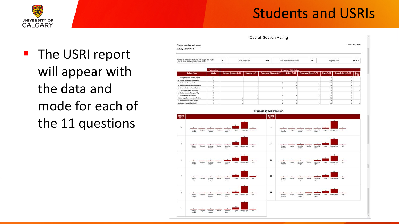

# ■ The USRI report will appear with the data and mode for each of the 11 questions

|                                                                                                                                                                                                                                                                                        |      |                               |                 |                        |                             |                     |                 | <b>Term and Year</b> |                      |  |
|----------------------------------------------------------------------------------------------------------------------------------------------------------------------------------------------------------------------------------------------------------------------------------------|------|-------------------------------|-----------------|------------------------|-----------------------------|---------------------|-----------------|----------------------|----------------------|--|
| <b>Course Number and Name</b>                                                                                                                                                                                                                                                          |      |                               |                 |                        |                             |                     |                 |                      |                      |  |
| Survey Instructor:                                                                                                                                                                                                                                                                     |      |                               |                 |                        |                             |                     |                 |                      |                      |  |
| Number of times the instructor has taught this course                                                                                                                                                                                                                                  |      | $\ddot{\phantom{a}}$          | USRI enrolment: | 194                    | Valid instruments received: | 78                  |                 | Response rate:       |                      |  |
| (last 10 years including the current term):                                                                                                                                                                                                                                            |      |                               |                 |                        |                             |                     |                 |                      | 40.21%               |  |
| <b>Rating Item</b>                                                                                                                                                                                                                                                                     | Mode | <b>Strongly Disagree (=1)</b> | Disagree $(=2)$ | Somewhat Disagree (=3) | Neither (=4)                | Somewhat Agree (=5) | Agree $(-6)$    | Strongly Agree (=7)  | <b>N/A</b><br>$(-8)$ |  |
| 2. Enough detail in course cuttine                                                                                                                                                                                                                                                     | ×    |                               |                 |                        |                             |                     | $\overline{22}$ | se                   |                      |  |
| 3. Course consistent with outline                                                                                                                                                                                                                                                      |      |                               |                 |                        |                             |                     | 19              | 58                   |                      |  |
| 4. Context well organized                                                                                                                                                                                                                                                              |      |                               |                 |                        |                             |                     | $\overline{15}$ | 41                   |                      |  |
|                                                                                                                                                                                                                                                                                        | ×    |                               |                 |                        |                             |                     | 18              | 49                   |                      |  |
|                                                                                                                                                                                                                                                                                        |      |                               |                 |                        |                             |                     |                 |                      |                      |  |
|                                                                                                                                                                                                                                                                                        |      |                               |                 |                        |                             |                     | 13              | <b>sa</b>            |                      |  |
|                                                                                                                                                                                                                                                                                        | ٠    |                               |                 |                        |                             |                     | 15              | 59                   |                      |  |
|                                                                                                                                                                                                                                                                                        |      |                               |                 |                        |                             |                     |                 | 68                   |                      |  |
|                                                                                                                                                                                                                                                                                        |      |                               |                 |                        |                             |                     | 16              | 53                   |                      |  |
|                                                                                                                                                                                                                                                                                        |      |                               |                 |                        |                             |                     | 21              | 48                   |                      |  |
| 3. Student questions responded to<br>6. Communicated with enthusiasm<br>7. Opportunities for assistance<br>8. Students treated respectfully<br>5. Evaluation methods fair<br>10. Work graded in reasonable time<br>11. I learned a lot in this course<br>13. Support materials helpful |      |                               |                 |                        |                             |                     | 18              | $^{45}$              |                      |  |

Overall Section Rating



**Frequency Distribution**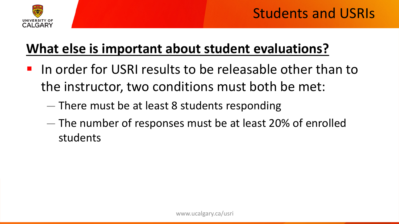

# **What else is important about student evaluations?**

- **I** In order for USRI results to be releasable other than to the instructor, two conditions must both be met:
	- There must be at least 8 students responding
	- The number of responses must be at least 20% of enrolled students